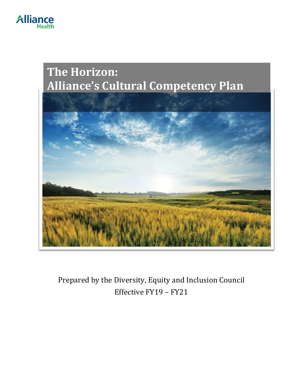

# **The Horizon: Alliance's Cultural Competency Plan**



Prepared by the Diversity, Equity and Inclusion Council Effective FY19 – FY21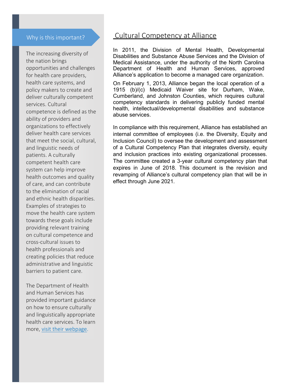#### Why is this important?

The increasing diversity of the nation brings opportunities and challenges for health care providers, health care systems, and policy makers to create and deliver culturally competent services. Cultural competence is defined as the ability of providers and organizations to effectively deliver health care services that meet the social, cultural, and linguistic needs of patients. A culturally competent health care system can help improve health outcomes and quality of care, and can contribute to the elimination of racial and ethnic health disparities. Examples of strategies to move the health care system towards these goals include providing relevant training on cultural competence and cross-cultural issues to health professionals and creating policies that reduce administrative and linguistic barriers to patient care.

The Department of Health and Human Services has provided important guidance on how to ensure culturally and linguistically appropriate health care services. To learn more, [visit their webpage.](https://minorityhealth.hhs.gov/omh/browse.aspx?lvl=2&lvlid=34)

### Cultural Competency at Alliance

In 2011, the Division of Mental Health, Developmental Disabilities and Substance Abuse Services and the Division of Medical Assistance, under the authority of the North Carolina Department of Health and Human Services, approved Alliance's application to become a managed care organization.

On February 1, 2013, Alliance began the local operation of a 1915 (b)/(c) Medicaid Waiver site for Durham, Wake, Cumberland, and Johnston Counties, which requires cultural competency standards in delivering publicly funded mental health, intellectual/developmental disabilities and substance abuse services.

In compliance with this requirement, Alliance has established an internal committee of employees (i.e. the Diversity, Equity and Inclusion Council) to oversee the development and assessment of a Cultural Competency Plan that integrates diversity, equity and inclusion practices into existing organizational processes. The committee created a 3-year cultural competency plan that expires in June of 2018. This document is the revision and revamping of Alliance's cultural competency plan that will be in effect through June 2021.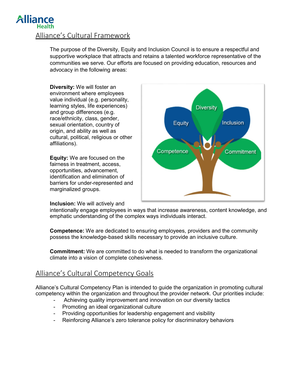## **Allian** Alliance's Cultural Framework

The purpose of the Diversity, Equity and Inclusion Council is to ensure a respectful and supportive workplace that attracts and retains a talented workforce representative of the communities we serve. Our efforts are focused on providing education, resources and advocacy in the following areas:

**Diversity:** We will foster an environment where employees value individual (e.g. personality, learning styles, life experiences) and group differences (e.g. race/ethnicity, class, gender, sexual orientation, country of origin, and ability as well as cultural, political, religious or other affiliations).

**Equity:** We are focused on the fairness in treatment, access, opportunities, advancement, identification and elimination of barriers for under-represented and marginalized groups.

#### **Inclusion:** We will actively and



intentionally engage employees in ways that increase awareness, content knowledge, and emphatic understanding of the complex ways individuals interact.

**Competence:** We are dedicated to ensuring employees, providers and the community possess the knowledge-based skills necessary to provide an inclusive culture.

**Commitment:** We are committed to do what is needed to transform the organizational climate into a vision of complete cohesiveness.

### Alliance's Cultural Competency Goals

Alliance's Cultural Competency Plan is intended to guide the organization in promoting cultural competency within the organization and throughout the provider network. Our priorities include:

- Achieving quality improvement and innovation on our diversity tactics
- Promoting an ideal organizational culture
- Providing opportunities for leadership engagement and visibility
- Reinforcing Alliance's zero tolerance policy for discriminatory behaviors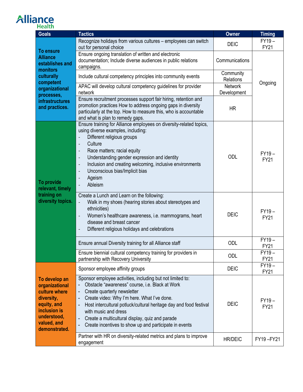# **Alliance**

| <b>Goals</b>                                                                                                                                                              | <b>Tactics</b>                                                                                                                                                                                                                                                                                                                                                                                                                                                                                                                             | Owner                         | <b>Timing</b>          |
|---------------------------------------------------------------------------------------------------------------------------------------------------------------------------|--------------------------------------------------------------------------------------------------------------------------------------------------------------------------------------------------------------------------------------------------------------------------------------------------------------------------------------------------------------------------------------------------------------------------------------------------------------------------------------------------------------------------------------------|-------------------------------|------------------------|
| <b>To ensure</b><br><b>Alliance</b><br>establishes and<br>monitors<br>culturally<br>competent<br>organizational<br>processes,<br><b>infrastructures</b><br>and practices. | Recognize holidays from various cultures - employees can switch<br>out for personal choice                                                                                                                                                                                                                                                                                                                                                                                                                                                 | <b>DEIC</b>                   | $FY19-$<br><b>FY21</b> |
|                                                                                                                                                                           | Ensure ongoing translation of written and electronic<br>documentation; Include diverse audiences in public relations<br>campaigns.                                                                                                                                                                                                                                                                                                                                                                                                         | Communications                |                        |
|                                                                                                                                                                           | Include cultural competency principles into community events                                                                                                                                                                                                                                                                                                                                                                                                                                                                               | Community<br>Relations        | Ongoing                |
|                                                                                                                                                                           | APAC will develop cultural competency guidelines for provider<br>network                                                                                                                                                                                                                                                                                                                                                                                                                                                                   | <b>Network</b><br>Development |                        |
|                                                                                                                                                                           | Ensure recruitment processes support fair hiring, retention and<br>promotion practices How to address ongoing gaps in diversity<br>particularly at the top. How to measure this, who is accountable<br>and what is plan to remedy gaps.                                                                                                                                                                                                                                                                                                    | <b>HR</b>                     |                        |
| To provide<br>relevant, timely<br>training on<br>diversity topics.                                                                                                        | Ensure training for Alliance employees on diversity-related topics,<br>using diverse examples, including:<br>Different religious groups<br>$\qquad \qquad -$<br>Culture<br>$\overline{\phantom{a}}$<br>Race matters; racial equity<br>$\overline{\phantom{a}}$<br>Understanding gender expression and identity<br>$\overline{\phantom{a}}$<br>Inclusion and creating welcoming, inclusive environments<br>$\overline{\phantom{a}}$<br>Unconscious bias/Implicit bias<br>$\overline{\phantom{a}}$<br>Ageism<br>$\qquad \qquad -$<br>Ableism | <b>ODL</b>                    | $FY19-$<br><b>FY21</b> |
|                                                                                                                                                                           | Create a Lunch and Learn on the following:<br>Walk in my shoes (hearing stories about stereotypes and<br>$\blacksquare$<br>ethnicities)<br>Women's healthcare awareness, i.e. mammograms, heart<br>$\qquad \qquad \blacksquare$<br>disease and breast cancer<br>Different religious holidays and celebrations                                                                                                                                                                                                                              | <b>DEIC</b>                   | $FY19-$<br><b>FY21</b> |
|                                                                                                                                                                           | Ensure annual Diversity training for all Alliance staff                                                                                                                                                                                                                                                                                                                                                                                                                                                                                    | ODL                           | $FY19-$<br><b>FY21</b> |
|                                                                                                                                                                           | Ensure biennial cultural competency training for providers in<br>partnership with Recovery University                                                                                                                                                                                                                                                                                                                                                                                                                                      | ODL                           | $FY19-$<br><b>FY21</b> |
| To develop an<br>organizational<br>culture where<br>diversity,<br>equity, and<br>inclusion is<br>understood,<br>valued, and<br>demonstrated.                              | Sponsor employee affinity groups                                                                                                                                                                                                                                                                                                                                                                                                                                                                                                           | <b>DEIC</b>                   | $FY19-$<br><b>FY21</b> |
|                                                                                                                                                                           | Sponsor employee activities, including but not limited to:<br>Obstacle "awareness" course, i.e. Black at Work<br>Create quarterly newsletter<br>$\qquad \qquad \blacksquare$<br>Create video: Why I'm here. What I've done.<br>Host intercultural potluck/cultural heritage day and food festival<br>with music and dress<br>Create a multicultural display, quiz and parade<br>Create incentives to show up and participate in events                                                                                                     | <b>DEIC</b>                   | $FY19-$<br><b>FY21</b> |
|                                                                                                                                                                           | Partner with HR on diversity-related metrics and plans to improve<br>engagement                                                                                                                                                                                                                                                                                                                                                                                                                                                            | <b>HR/DEIC</b>                | FY19-FY21              |